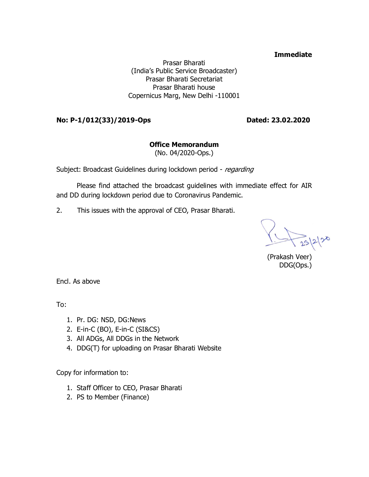#### **Immediate**

Prasar Bharati (India's Public Service Broadcaster) Prasar Bharati Secretariat Prasar Bharati house Copernicus Marg, New Delhi -110001

#### **No: P-1/012(33)/2019-Ops Dated: 23.02.2020**

#### **Office Memorandum**

(No. 04/2020-Ops.)

Subject: Broadcast Guidelines during lockdown period - regarding

Please find attached the broadcast guidelines with immediate effect for AIR and DD during lockdown period due to Coronavirus Pandemic.

2. This issues with the approval of CEO, Prasar Bharati.

 $23220$ 

(Prakash Veer) DDG(Ops.)

Encl. As above

To:

- 1. Pr. DG: NSD, DG:News
- 2. E-in-C (BO), E-in-C (SI&CS)
- 3. All ADGs, All DDGs in the Network
- 4. DDG(T) for uploading on Prasar Bharati Website

Copy for information to:

- 1. Staff Officer to CEO, Prasar Bharati
- 2. PS to Member (Finance)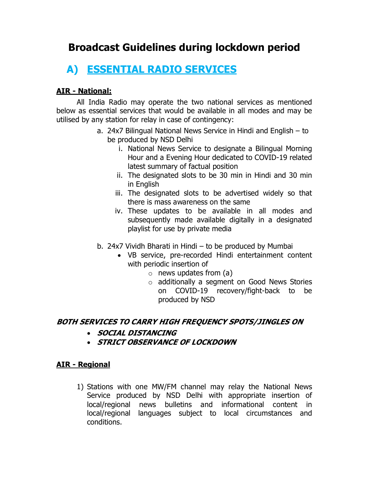### **Broadcast Guidelines during lockdown period**

# **A) ESSENTIAL RADIO SERVICES**

### **AIR - National:**

All India Radio may operate the two national services as mentioned below as essential services that would be available in all modes and may be utilised by any station for relay in case of contingency:

- a. 24x7 Bilingual National News Service in Hindi and English to be produced by NSD Delhi
	- i. National News Service to designate a Bilingual Morning Hour and a Evening Hour dedicated to COVID-19 related latest summary of factual position
	- ii. The designated slots to be 30 min in Hindi and 30 min in English
	- iii. The designated slots to be advertised widely so that there is mass awareness on the same
	- iv. These updates to be available in all modes and subsequently made available digitally in a designated playlist for use by private media
- b. 24x7 Vividh Bharati in Hindi to be produced by Mumbai
	- · VB service, pre-recorded Hindi entertainment content with periodic insertion of
		- $\circ$  news updates from (a)
		- o additionally a segment on Good News Stories on COVID-19 recovery/fight-back to be produced by NSD

#### **BOTH SERVICES TO CARRY HIGH FREQUENCY SPOTS/JINGLES ON**

- · **SOCIAL DISTANCING**
- · **STRICT OBSERVANCE OF LOCKDOWN**

#### **AIR - Regional**

1) Stations with one MW/FM channel may relay the National News Service produced by NSD Delhi with appropriate insertion of local/regional news bulletins and informational content in local/regional languages subject to local circumstances and conditions.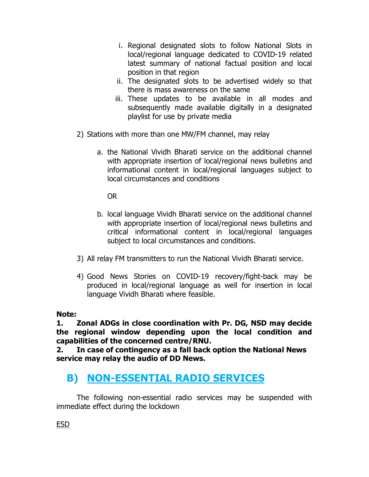- i. Regional designated slots to follow National Slots in local/regional language dedicated to COVID-19 related latest summary of national factual position and local position in that region
- ii. The designated slots to be advertised widely so that there is mass awareness on the same
- iii. These updates to be available in all modes and subsequently made available digitally in a designated playlist for use by private media
- 2) Stations with more than one MW/FM channel, may relay
	- a. the National Vividh Bharati service on the additional channel with appropriate insertion of local/regional news bulletins and informational content in local/regional languages subject to local circumstances and conditions

OR

- b. local language Vividh Bharati service on the additional channel with appropriate insertion of local/regional news bulletins and critical informational content in local/regional languages subject to local circumstances and conditions.
- 3) All relay FM transmitters to run the National Vividh Bharati service.
- 4) Good News Stories on COVID-19 recovery/fight-back may be produced in local/regional language as well for insertion in local language Vividh Bharati where feasible.

**Note:**

**1. Zonal ADGs in close coordination with Pr. DG, NSD may decide the regional window depending upon the local condition and capabilities of the concerned centre/RNU.**

**2. In case of contingency as a fall back option the National News service may relay the audio of DD News.**

## **B) NON-ESSENTIAL RADIO SERVICES**

The following non-essential radio services may be suspended with immediate effect during the lockdown

ESD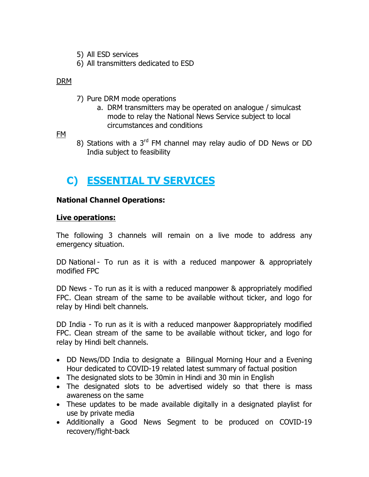- 5) All ESD services
- 6) All transmitters dedicated to ESD

#### DRM

- 7) Pure DRM mode operations
	- a. DRM transmitters may be operated on analogue / simulcast mode to relay the National News Service subject to local circumstances and conditions

FM

8) Stations with a  $3<sup>rd</sup>$  FM channel may relay audio of DD News or DD India subject to feasibility

# **C) ESSENTIAL TV SERVICES**

#### **National Channel Operations:**

#### **Live operations:**

The following 3 channels will remain on a live mode to address any emergency situation.

DD National - To run as it is with a reduced manpower & appropriately modified FPC

DD News - To run as it is with a reduced manpower & appropriately modified FPC. Clean stream of the same to be available without ticker, and logo for relay by Hindi belt channels.

DD India - To run as it is with a reduced manpower &appropriately modified FPC. Clean stream of the same to be available without ticker, and logo for relay by Hindi belt channels.

- DD News/DD India to designate a Bilingual Morning Hour and a Evening Hour dedicated to COVID-19 related latest summary of factual position
- The designated slots to be 30min in Hindi and 30 min in English
- The designated slots to be advertised widely so that there is mass awareness on the same
- · These updates to be made available digitally in a designated playlist for use by private media
- · Additionally a Good News Segment to be produced on COVID-19 recovery/fight-back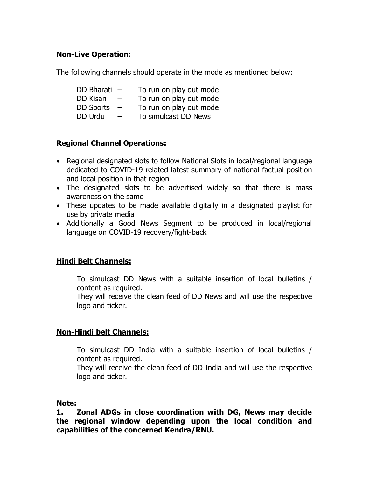#### **Non-Live Operation:**

The following channels should operate in the mode as mentioned below:

| DD Bharati $-$   |                          | To run on play out mode |
|------------------|--------------------------|-------------------------|
| DD Kisan         | $\overline{\phantom{0}}$ | To run on play out mode |
| <b>DD Sports</b> | $\overline{\phantom{m}}$ | To run on play out mode |
| DD Urdu          | $\overline{\phantom{0}}$ | To simulcast DD News    |

#### **Regional Channel Operations:**

- · Regional designated slots to follow National Slots in local/regional language dedicated to COVID-19 related latest summary of national factual position and local position in that region
- The designated slots to be advertised widely so that there is mass awareness on the same
- · These updates to be made available digitally in a designated playlist for use by private media
- · Additionally a Good News Segment to be produced in local/regional language on COVID-19 recovery/fight-back

#### **Hindi Belt Channels:**

To simulcast DD News with a suitable insertion of local bulletins / content as required.

They will receive the clean feed of DD News and will use the respective logo and ticker.

#### **Non-Hindi belt Channels:**

To simulcast DD India with a suitable insertion of local bulletins / content as required.

They will receive the clean feed of DD India and will use the respective logo and ticker.

#### **Note:**

**1. Zonal ADGs in close coordination with DG, News may decide the regional window depending upon the local condition and capabilities of the concerned Kendra/RNU.**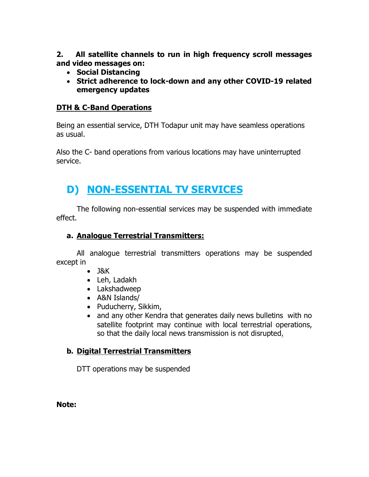**2. All satellite channels to run in high frequency scroll messages and video messages on:**

- · **Social Distancing**
- · **Strict adherence to lock-down and any other COVID-19 related emergency updates**

#### **DTH & C-Band Operations**

Being an essential service, DTH Todapur unit may have seamless operations as usual.

Also the C- band operations from various locations may have uninterrupted service.

# **D) NON-ESSENTIAL TV SERVICES**

The following non-essential services may be suspended with immediate effect.

#### **a. Analogue Terrestrial Transmitters:**

All analogue terrestrial transmitters operations may be suspended except in

- · J&K
- · Leh, Ladakh
- · Lakshadweep
- · A&N Islands/
- · Puducherry, Sikkim,
- and any other Kendra that generates daily news bulletins with no satellite footprint may continue with local terrestrial operations, so that the daily local news transmission is not disrupted.

#### **b. Digital Terrestrial Transmitters**

DTT operations may be suspended

**Note:**